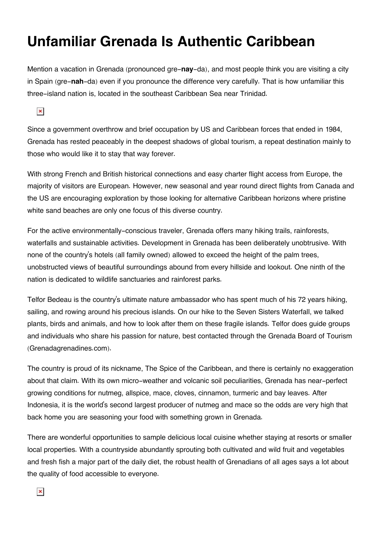## **Unfamiliar Grenada Is Authentic Caribbean**

Mention a vacation in Grenada (pronounced gre-**nay**-da), and most people think you are visiting a city in Spain (gre-**nah**-da) even if you pronounce the difference very carefully. That is how unfamiliar this three-island nation is, located in the southeast Caribbean Sea near Trinidad.

 $\pmb{\times}$ 

Since a government overthrow and brief occupation by US and Caribbean forces that ended in 1984, Grenada has rested peaceably in the deepest shadows of global tourism, a repeat destination mainly to those who would like it to stay that way forever.

With strong French and British historical connections and easy charter flight access from Europe, the majority of visitors are European. However, new seasonal and year round direct flights from Canada and the US are encouraging exploration by those looking for alternative Caribbean horizons where pristine white sand beaches are only one focus of this diverse country.

For the active environmentally-conscious traveler, Grenada offers many hiking trails, rainforests, waterfalls and sustainable activities. Development in Grenada has been deliberately unobtrusive. With none of the country's hotels (all family owned) allowed to exceed the height of the palm trees, unobstructed views of beautiful surroundings abound from every hillside and lookout. One ninth of the nation is dedicated to wildlife sanctuaries and rainforest parks.

Telfor Bedeau is the country's ultimate nature ambassador who has spent much of his 72 years hiking, sailing, and rowing around his precious islands. On our hike to the Seven Sisters Waterfall, we talked plants, birds and animals, and how to look after them on these fragile islands. Telfor does guide groups and individuals who share his passion for nature, best contacted through the Grenada Board of Tourism (Grenadagrenadines.com).

The country is proud of its nickname, The Spice of the Caribbean, and there is certainly no exaggeration about that claim. With its own micro-weather and volcanic soil peculiarities, Grenada has near-perfect growing conditions for nutmeg, allspice, mace, cloves, cinnamon, turmeric and bay leaves. After Indonesia, it is the world's second largest producer of nutmeg and mace so the odds are very high that back home you are seasoning your food with something grown in Grenada.

There are wonderful opportunities to sample delicious local cuisine whether staying at resorts or smaller local properties. With a countryside abundantly sprouting both cultivated and wild fruit and vegetables and fresh fish a major part of the daily diet, the robust health of Grenadians of all ages says a lot about the quality of food accessible to everyone.

 $\pmb{\times}$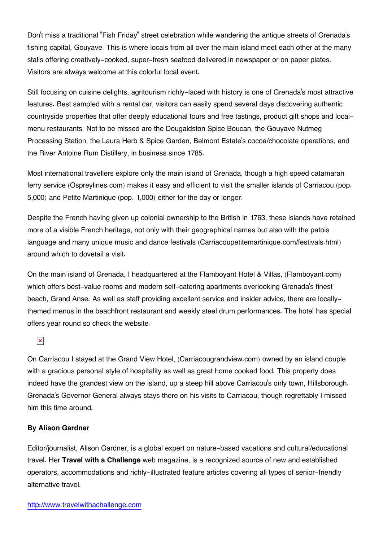Don't miss a traditional "Fish Friday" street celebration while wandering the antique streets of Grenada's fishing capital, Gouyave. This is where locals from all over the main island meet each other at the many stalls offering creatively-cooked, super-fresh seafood delivered in newspaper or on paper plates. Visitors are always welcome at this colorful local event.

Still focusing on cuisine delights, agritourism richly-laced with history is one of Grenada's most attractive features. Best sampled with a rental car, visitors can easily spend several days discovering authentic countryside properties that offer deeply educational tours and free tastings, product gift shops and localmenu restaurants. Not to be missed are the Dougaldston Spice Boucan, the Gouyave Nutmeg Processing Station, the Laura Herb & Spice Garden, Belmont Estate's cocoa/chocolate operations, and the River Antoine Rum Distillery, in business since 1785.

Most international travellers explore only the main island of Grenada, though a high speed catamaran ferry service (Ospreylines.com) makes it easy and efficient to visit the smaller islands of Carriacou (pop. 5,000) and Petite Martinique (pop. 1,000) either for the day or longer.

Despite the French having given up colonial ownership to the British in 1763, these islands have retained more of a visible French heritage, not only with their geographical names but also with the patois language and many unique music and dance festivals (Carriacoupetitemartinique.com/festivals.html) around which to dovetail a visit.

On the main island of Grenada, I headquartered at the Flamboyant Hotel & Villas, (Flamboyant.com) which offers best-value rooms and modern self-catering apartments overlooking Grenada's finest beach, Grand Anse. As well as staff providing excellent service and insider advice, there are locallythemed menus in the beachfront restaurant and weekly steel drum performances. The hotel has special offers year round so check the website.

## $\pmb{\times}$

On Carriacou I stayed at the Grand View Hotel, (Carriacougrandview.com) owned by an island couple with a gracious personal style of hospitality as well as great home cooked food. This property does indeed have the grandest view on the island, up a steep hill above Carriacou's only town, Hillsborough. Grenada's Governor General always stays there on his visits to Carriacou, though regrettably I missed him this time around.

## **By Alison Gardner**

Editor/journalist, Alison Gardner, is a global expert on nature-based vacations and cultural/educational travel. Her **Travel with a Challenge** web magazine, is a recognized source of new and established operators, accommodations and richly-illustrated feature articles covering all types of senior-friendly alternative travel.